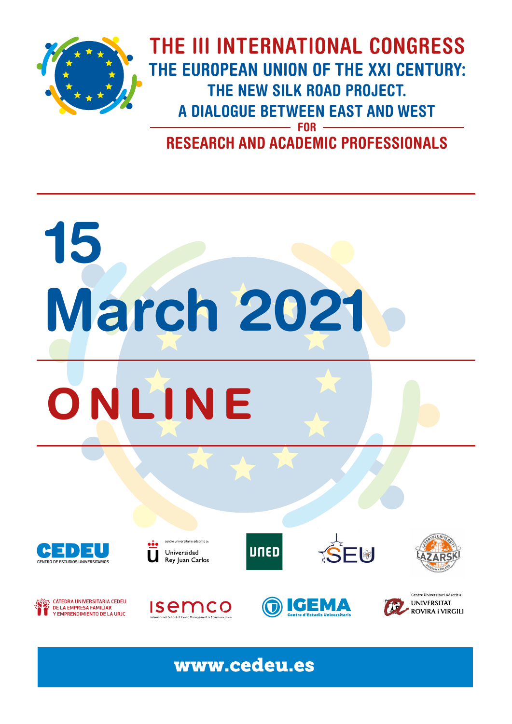

THE III INTERNATIONAL CONGRESS **THE EUROPEAN UNION OF THE XXI CENTURY: THE NEW SILK ROAD PROJECT. A DIALOGUE BETWEEN EAST AND WEST FOR**

**RESEARCH AND ACADEMIC PROFESSIONALS**

# **15 ONLINE March 2021**





versitario adscrito a Universidad Rey Juan Carlos







**Isemco** 





www.cedeu.es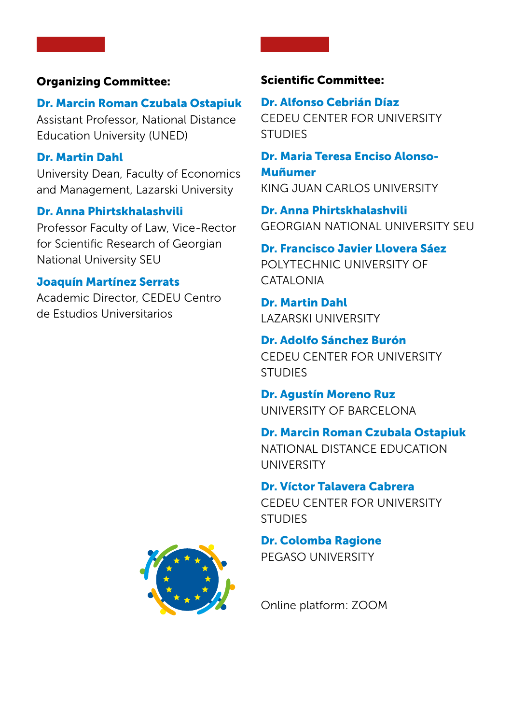## Organizing Committee:

# Dr. Marcin Roman Czubala Ostapiuk

Assistant Professor, National Distance Education University (UNED)

# Dr. Martin Dahl

University Dean, Faculty of Economics and Management, Lazarski University

# Dr. Anna Phirtskhalashvili

Professor Faculty of Law, Vice-Rector for Scientific Research of Georgian National University SEU

# Joaquín Martínez Serrats

Academic Director, CEDEU Centro de Estudios Universitarios

# Scientific Committee:

Dr. Alfonso Cebrián Díaz CEDEU CENTER FOR UNIVERSITY STUDIES

Dr. Maria Teresa Enciso Alonso-Muñumer KING JUAN CARLOS UNIVERSITY

Dr. Anna Phirtskhalashvili GEORGIAN NATIONAL UNIVERSITY SEU

Dr. Francisco Javier Llovera Sáez POLYTECHNIC UNIVERSITY OF CATALONIA

Dr. Martin Dahl LAZARSKI UNIVERSITY

Dr. Adolfo Sánchez Burón CEDEU CENTER FOR UNIVERSITY **STUDIES** 

Dr. Agustín Moreno Ruz UNIVERSITY OF BARCELONA

Dr. Marcin Roman Czubala Ostapiuk NATIONAL DISTANCE EDUCATION UNIVERSITY

Dr. Víctor Talavera Cabrera CEDEU CENTER FOR UNIVERSITY

**STUDIES** 

Dr. Colomba Ragione PEGASO UNIVERSITY



Online platform: ZOOM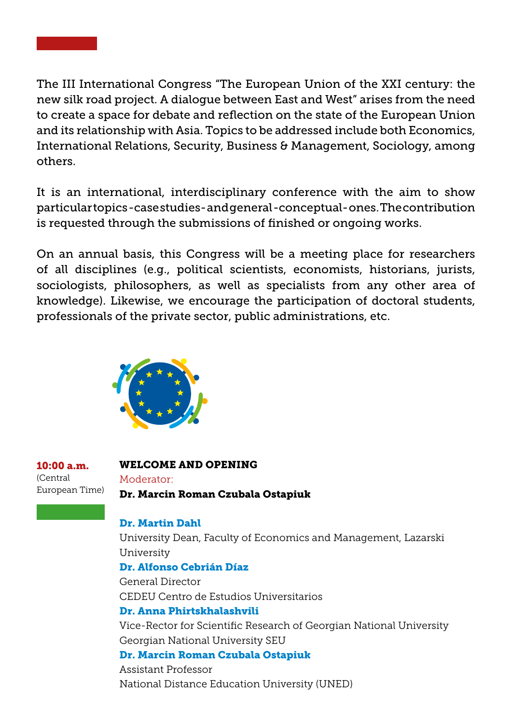

The III International Congress "The European Union of the XXI century: the new silk road project. A dialogue between East and West" arises from the need to create a space for debate and reflection on the state of the European Union and its relationship with Asia. Topics to be addressed include both Economics, International Relations, Security, Business & Management, Sociology, among others.

It is an international, interdisciplinary conference with the aim to show particular topics -case studies- and general -conceptual- ones. The contribution is requested through the submissions of finished or ongoing works.

On an annual basis, this Congress will be a meeting place for researchers of all disciplines (e.g., political scientists, economists, historians, jurists, sociologists, philosophers, as well as specialists from any other area of knowledge). Likewise, we encourage the participation of doctoral students, professionals of the private sector, public administrations, etc.



10:00 a.m. (Central European Time)

### WELCOME AND OPENING Moderator:

Dr. Marcin Roman Czubala Ostapiuk

# Dr. Martin Dahl

University Dean, Faculty of Economics and Management, Lazarski University

Dr. Alfonso Cebrián Díaz General Director CEDEU Centro de Estudios Universitarios Dr. Anna Phirtskhalashvili

Vice-Rector for Scientific Research of Georgian National University Georgian National University SEU

Dr. Marcin Roman Czubala Ostapiuk Assistant Professor National Distance Education University (UNED)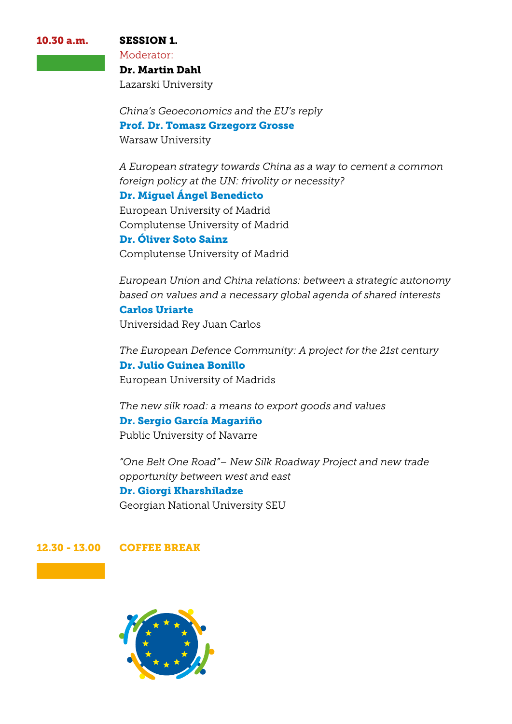10.30 a.m. SESSION 1.

Moderator:

Dr. Martin Dahl Lazarski University

*China's Geoeconomics and the EU's reply* Prof. Dr. Tomasz Grzegorz Grosse Warsaw University

*A European strategy towards China as a way to cement a common foreign policy at the UN: frivolity or necessity?*

Dr. Miguel Ángel Benedicto

European University of Madrid Complutense University of Madrid

Dr. Óliver Soto Sainz Complutense University of Madrid

*European Union and China relations: between a strategic autonomy based on values and a necessary global agenda of shared interests* Carlos Uriarte Universidad Rey Juan Carlos

*The European Defence Community: A project for the 21st century* Dr. Julio Guinea Bonillo European University of Madrids

*The new silk road: a means to export goods and values* Dr. Sergio García Magariño Public University of Navarre

*"One Belt One Road"– New Silk Roadway Project and new trade opportunity between west and east* Dr. Giorgi Kharshiladze Georgian National University SEU

#### 12.30 - 13.00 COFFEE BREAK

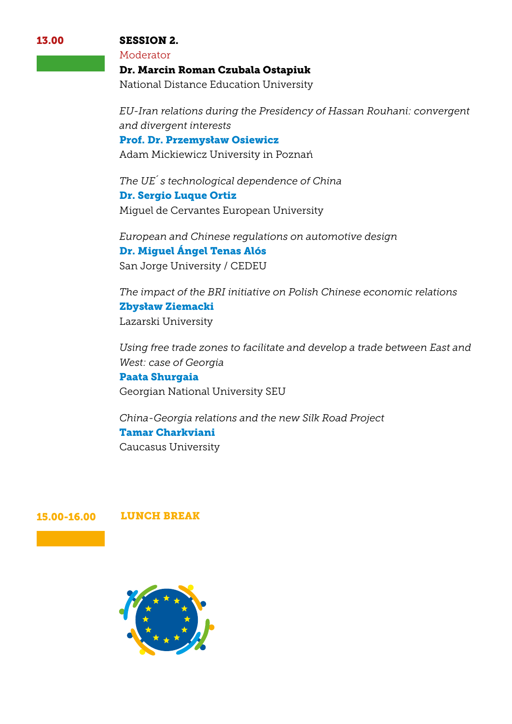#### SESSION 2.

Moderator

Dr. Marcin Roman Czubala Ostapiuk

National Distance Education University

*EU-Iran relations during the Presidency of Hassan Rouhani: convergent and divergent interests*

Prof. Dr. Przemysław Osiewicz

Adam Mickiewicz University in Poznań

*The UE´s technological dependence of China* Dr. Sergio Luque Ortiz Miguel de Cervantes European University

*European and Chinese regulations on automotive design* Dr. Miguel Ángel Tenas Alós San Jorge University / CEDEU

*The impact of the BRI initiative on Polish Chinese economic relations* Zbysław Ziemacki Lazarski University

*Using free trade zones to facilitate and develop a trade between East and West: case of Georgia*

Paata Shurgaia Georgian National University SEU

*China-Georgia relations and the new Silk Road Project* Tamar Charkviani Caucasus University

#### 15.00-16.00 LUNCH BREAK



13.00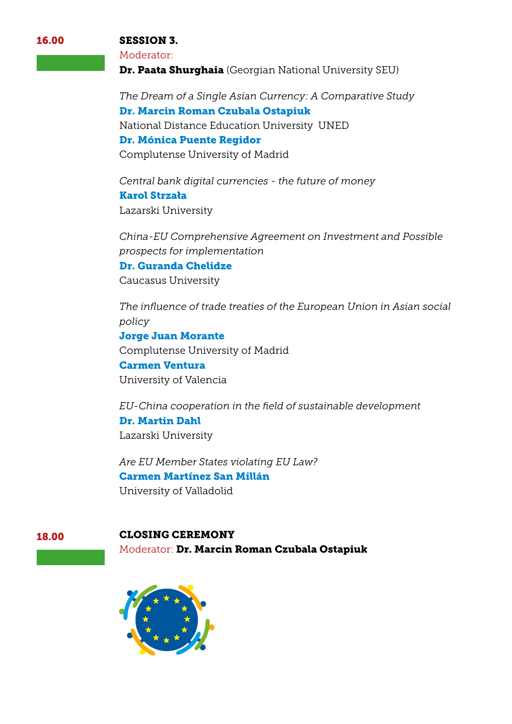#### SESSION 3.

#### Moderator:

Dr. Paata Shurghaia (Georgian National University SEU)

*The Dream of a Single Asian Currency: A Comparative Study* Dr. Marcin Roman Czubala Ostapiuk National Distance Education University UNED Dr. Mónica Puente Regidor Complutense University of Madrid

*Central bank digital currencies - the future of money* Karol Strzała Lazarski University

*China-EU Comprehensive Agreement on Investment and Possible prospects for implementation*

Dr. Guranda Chelidze Caucasus University

*The influence of trade treaties of the European Union in Asian social policy*

Jorge Juan Morante Complutense University of Madrid Carmen Ventura University of Valencia

*EU-China cooperation in the field of sustainable development* Dr. Martin Dahl Lazarski University

*Are EU Member States violating EU Law?* Carmen Martínez San Millán University of Valladolid

# 18.00 CLOSING CEREMONY

Moderator: Dr. Marcin Roman Czubala Ostapiuk